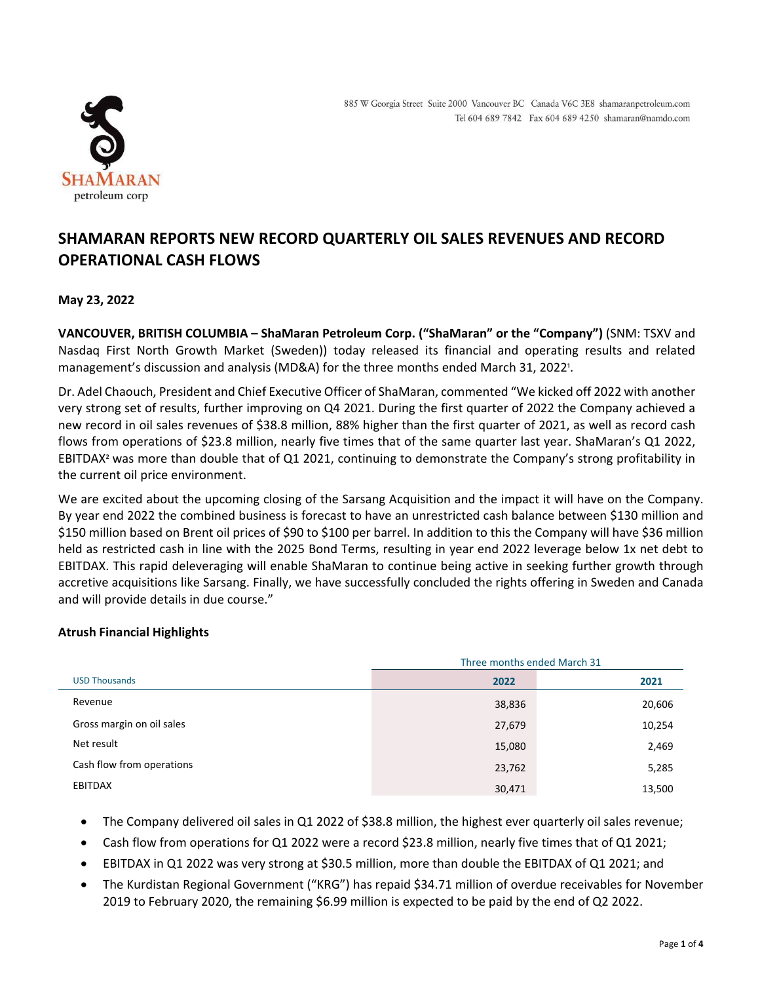

# **SHAMARAN REPORTS NEW RECORD QUARTERLY OIL SALES REVENUES AND RECORD OPERATIONAL CASH FLOWS**

# **May 23, 2022**

**VANCOUVER, BRITISH COLUMBIA – ShaMaran Petroleum Corp. ("ShaMaran" or the "Company")** (SNM: TSXV and Nasdaq First North Growth Market (Sweden)) today released its financial and operating results and related management's discussion and analysis (MD&A) for the three months ended March 31, 2022.

Dr. Adel Chaouch, President and Chief Executive Officer of ShaMaran, commented "We kicked off 2022 with another very strong set of results, further improving on Q4 2021. During the first quarter of 2022 the Company achieved a new record in oil sales revenues of \$38.8 million, 88% higher than the first quarter of 2021, as well as record cash flows from operations of \$23.8 million, nearly five times that of the same quarter last year. ShaMaran's Q1 2022, EBITDAX² was more than double that of Q1 2021, continuing to demonstrate the Company's strong profitability in the current oil price environment.

We are excited about the upcoming closing of the Sarsang Acquisition and the impact it will have on the Company. By year end 2022 the combined business is forecast to have an unrestricted cash balance between \$130 million and \$150 million based on Brent oil prices of \$90 to \$100 per barrel. In addition to this the Company will have \$36 million held as restricted cash in line with the 2025 Bond Terms, resulting in year end 2022 leverage below 1x net debt to EBITDAX. This rapid deleveraging will enable ShaMaran to continue being active in seeking further growth through accretive acquisitions like Sarsang. Finally, we have successfully concluded the rights offering in Sweden and Canada and will provide details in due course."

### **Atrush Financial Highlights**

|                           | Three months ended March 31 |        |
|---------------------------|-----------------------------|--------|
| <b>USD Thousands</b>      | 2022                        | 2021   |
| Revenue                   | 38,836                      | 20,606 |
| Gross margin on oil sales | 27,679                      | 10,254 |
| Net result                | 15,080                      | 2,469  |
| Cash flow from operations | 23,762                      | 5,285  |
| EBITDAX                   | 30,471                      | 13,500 |

- The Company delivered oil sales in Q1 2022 of \$38.8 million, the highest ever quarterly oil sales revenue;
- Cash flow from operations for Q1 2022 were a record \$23.8 million, nearly five times that of Q1 2021;
- EBITDAX in Q1 2022 was very strong at \$30.5 million, more than double the EBITDAX of Q1 2021; and
- The Kurdistan Regional Government ("KRG") has repaid \$34.71 million of overdue receivables for November 2019 to February 2020, the remaining \$6.99 million is expected to be paid by the end of Q2 2022.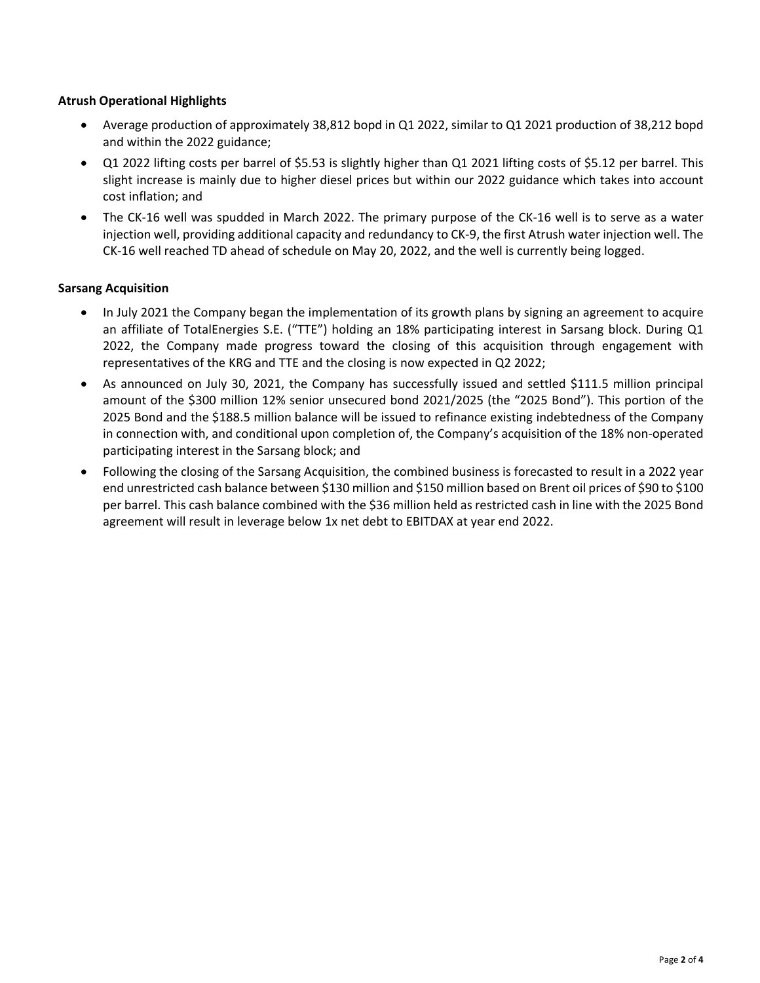# **Atrush Operational Highlights**

- Average production of approximately 38,812 bopd in Q1 2022, similar to Q1 2021 production of 38,212 bopd and within the 2022 guidance;
- Q1 2022 lifting costs per barrel of \$5.53 is slightly higher than Q1 2021 lifting costs of \$5.12 per barrel. This slight increase is mainly due to higher diesel prices but within our 2022 guidance which takes into account cost inflation; and
- The CK‐16 well was spudded in March 2022. The primary purpose of the CK‐16 well is to serve as a water injection well, providing additional capacity and redundancy to CK‐9, the first Atrush water injection well. The CK‐16 well reached TD ahead of schedule on May 20, 2022, and the well is currently being logged.

### **Sarsang Acquisition**

- In July 2021 the Company began the implementation of its growth plans by signing an agreement to acquire an affiliate of TotalEnergies S.E. ("TTE") holding an 18% participating interest in Sarsang block. During Q1 2022, the Company made progress toward the closing of this acquisition through engagement with representatives of the KRG and TTE and the closing is now expected in Q2 2022;
- As announced on July 30, 2021, the Company has successfully issued and settled \$111.5 million principal amount of the \$300 million 12% senior unsecured bond 2021/2025 (the "2025 Bond"). This portion of the 2025 Bond and the \$188.5 million balance will be issued to refinance existing indebtedness of the Company in connection with, and conditional upon completion of, the Company's acquisition of the 18% non-operated participating interest in the Sarsang block; and
- Following the closing of the Sarsang Acquisition, the combined business is forecasted to result in a 2022 year end unrestricted cash balance between \$130 million and \$150 million based on Brent oil prices of \$90 to \$100 per barrel. This cash balance combined with the \$36 million held as restricted cash in line with the 2025 Bond agreement will result in leverage below 1x net debt to EBITDAX at year end 2022.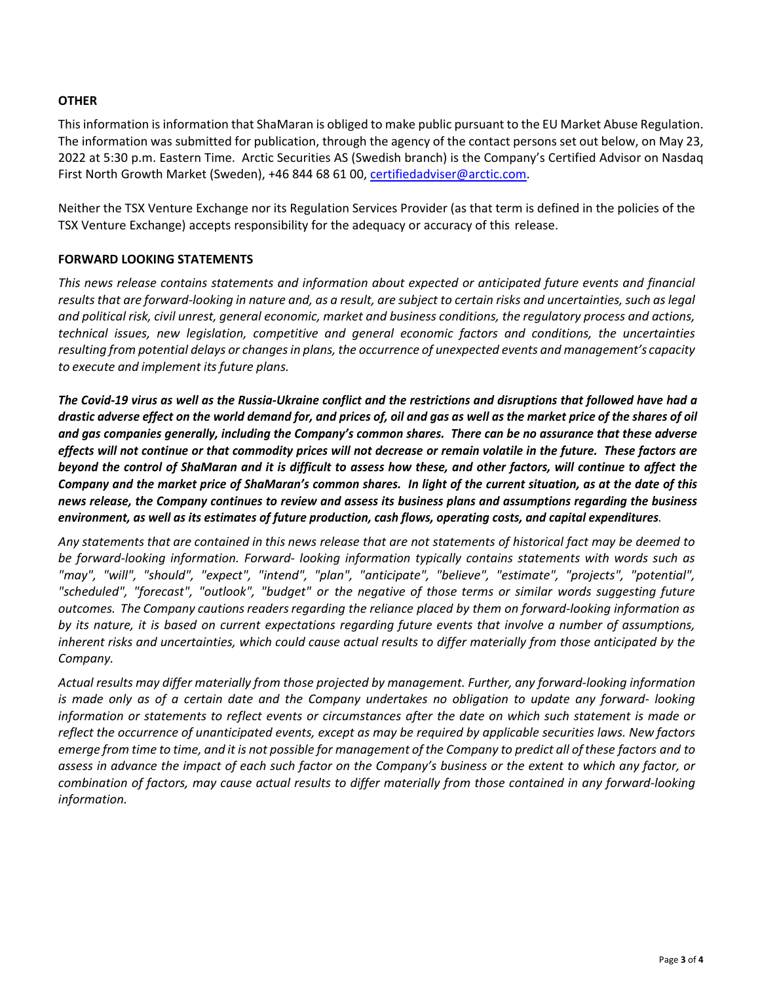# **OTHER**

This information is information that ShaMaran is obliged to make public pursuant to the EU Market Abuse Regulation. The information was submitted for publication, through the agency of the contact persons set out below, on May 23, 2022 at 5:30 p.m. Eastern Time. Arctic Securities AS (Swedish branch) is the Company's Certified Advisor on Nasdaq First North Growth Market (Sweden), +46 844 68 61 00, certifiedadviser@arctic.com.

Neither the TSX Venture Exchange nor its Regulation Services Provider (as that term is defined in the policies of the TSX Venture Exchange) accepts responsibility for the adequacy or accuracy of this release.

# **FORWARD LOOKING STATEMENTS**

*This news release contains statements and information about expected or anticipated future events and financial* results that are forward-looking in nature and, as a result, are subject to certain risks and uncertainties, such as legal and political risk, civil unrest, general economic, market and business conditions, the regulatory process and actions, *technical issues, new legislation, competitive and general economic factors and conditions, the uncertainties resulting from potential delays or changesin plans, the occurrence of unexpected events and management's capacity to execute and implement its future plans.* 

The Covid-19 virus as well as the Russia-Ukraine conflict and the restrictions and disruptions that followed have had a drastic adverse effect on the world demand for, and prices of, oil and gas as well as the market price of the shares of oil and gas companies generally, including the Company's common shares. There can be no assurance that these adverse effects will not continue or that commodity prices will not decrease or remain volatile in the future. These factors are beyond the control of ShaMaran and it is difficult to assess how these, and other factors, will continue to affect the Company and the market price of ShaMaran's common shares. In light of the current situation, as at the date of this news release, the Company continues to review and assess its business plans and assumptions regarding the business environment, as well as its estimates of future production, cash flows, operating costs, and capital expenditures.

Any statements that are contained in this news release that are not statements of historical fact may be deemed to *be forward‐looking information. Forward‐ looking information typically contains statements with words such as "may", "will", "should", "expect", "intend", "plan", "anticipate", "believe", "estimate", "projects", "potential", "scheduled", "forecast", "outlook", "budget" or the negative of those terms or similar words suggesting future outcomes. The Company cautionsreadersregarding the reliance placed by them on forward‐looking information as* by its nature, it is based on current expectations regarding future events that involve a number of assumptions, inherent risks and uncertainties, which could cause actual results to differ materially from those anticipated by the *Company.*

Actual results may differ materially from those projected by management. Further, any forward-looking information is made only as of a certain date and the Company undertakes no obligation to update any forward- looking information or statements to reflect events or circumstances after the date on which such statement is made or reflect the occurrence of unanticipated events, except as may be required by applicable securities laws. New factors emerge from time to time, and it is not possible for management of the Company to predict all of these factors and to assess in advance the impact of each such factor on the Company's business or the extent to which any factor, or combination of factors, may cause actual results to differ materially from those contained in any forward-looking *information.*